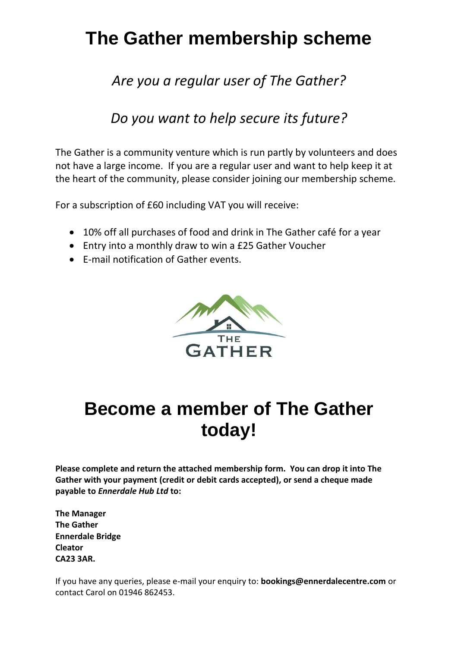# **The Gather membership scheme**

### *Are you a regular user of The Gather?*

### *Do you want to help secure its future?*

The Gather is a community venture which is run partly by volunteers and does not have a large income. If you are a regular user and want to help keep it at the heart of the community, please consider joining our membership scheme.

For a subscription of £60 including VAT you will receive:

- 10% off all purchases of food and drink in The Gather café for a year
- Entry into a monthly draw to win a £25 Gather Voucher
- E-mail notification of Gather events.



## **Become a member of The Gather today!**

**Please complete and return the attached membership form. You can drop it into The Gather with your payment (credit or debit cards accepted), or send a cheque made payable to** *Ennerdale Hub Ltd* **to:**

**The Manager The Gather Ennerdale Bridge Cleator CA23 3AR.**

If you have any queries, please e-mail your enquiry to: **bookings@ennerdalecentre.com** or contact Carol on 01946 862453.